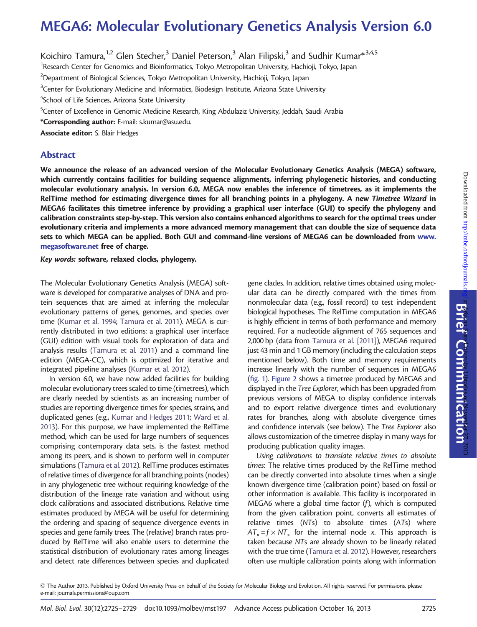## MEGA6: Molecular Evolutionary Genetics Analysis Version 6.0

Koichiro Tamura,<sup>1,2</sup> Glen Stecher,<sup>3</sup> Daniel Peterson,<sup>3</sup> Alan Filipski,<sup>3</sup> and Sudhir Kumar<sup>\*,3,4,5</sup> <sup>1</sup>Research Center for Genomics and Bioinformatics, Tokyo Metropolitan University, Hachioji, Tokyo, Japan

 $^2$ Department of Biological Sciences, Tokyo Metropolitan University, Hachioji, Tokyo, Japan

<sup>3</sup>Center for Evolutionary Medicine and Informatics, Biodesign Institute, Arizona State University

4 School of Life Sciences, Arizona State University

<sup>5</sup>Center of Excellence in Genomic Medicine Research, King Abdulaziz University, Jeddah, Saudi Arabia

\*Corresponding author: E-mail: s.kumar@asu.edu.

Associate editor: S. Blair Hedges

## Abstract

We announce the release of an advanced version of the Molecular Evolutionary Genetics Analysis (MEGA) software, which currently contains facilities for building sequence alignments, inferring phylogenetic histories, and conducting molecular evolutionary analysis. In version 6.0, MEGA now enables the inference of timetrees, as it implements the RelTime method for estimating divergence times for all branching points in a phylogeny. A new Timetree Wizard in MEGA6 facilitates this timetree inference by providing a graphical user interface (GUI) to specify the phylogeny and calibration constraints step-by-step. This version also contains enhanced algorithms to search for the optimal trees under evolutionary criteria and implements a more advanced memory management that can double the size of sequence data sets to which MEGA can be applied. Both GUI and command-line versions of MEGA6 can be downloaded from [www.](www.megasoftware.net) [megasoftware.net](www.megasoftware.net) free of charge.

Key words: software, relaxed clocks, phylogeny.

The Molecular Evolutionary Genetics Analysis (MEGA) software is developed for comparative analyses of DNA and protein sequences that are aimed at inferring the molecular evolutionary patterns of genes, genomes, and species over time ([Kumar et al. 1994;](#page-4-0) [Tamura et al. 2011](#page-4-0)). MEGA is currently distributed in two editions: a graphical user interface (GUI) edition with visual tools for exploration of data and analysis results ([Tamura et al. 2011\)](#page-4-0) and a command line edition (MEGA-CC), which is optimized for iterative and integrated pipeline analyses ([Kumar et al. 2012\)](#page-4-0).

In version 6.0, we have now added facilities for building molecular evolutionary trees scaled to time (timetrees), which are clearly needed by scientists as an increasing number of studies are reporting divergence times for species, strains, and duplicated genes (e.g., [Kumar and Hedges 2011;](#page-4-0) [Ward et al.](#page-4-0) [2013\)](#page-4-0). For this purpose, we have implemented the RelTime method, which can be used for large numbers of sequences comprising contemporary data sets, is the fastest method among its peers, and is shown to perform well in computer simulations [\(Tamura et al. 2012\)](#page-4-0). RelTime produces estimates of relative times of divergence for all branching points (nodes) in any phylogenetic tree without requiring knowledge of the distribution of the lineage rate variation and without using clock calibrations and associated distributions. Relative time estimates produced by MEGA will be useful for determining the ordering and spacing of sequence divergence events in species and gene family trees. The (relative) branch rates produced by RelTime will also enable users to determine the statistical distribution of evolutionary rates among lineages and detect rate differences between species and duplicated

gene clades. In addition, relative times obtained using molecular data can be directly compared with the times from nonmolecular data (e.g., fossil record) to test independent biological hypotheses. The RelTime computation in MEGA6 is highly efficient in terms of both performance and memory required. For a nucleotide alignment of 765 sequences and 2,000 bp (data from [Tamura et al. \[2011\]](#page-4-0)), MEGA6 required just 43 min and 1 GB memory (including the calculation steps mentioned below). Both time and memory requirements increase linearly with the number of sequences in MEGA6 [\(fig. 1](#page-1-0)). [Figure 2](#page-2-0) shows a timetree produced by MEGA6 and displayed in the Tree Explorer, which has been upgraded from previous versions of MEGA to display confidence intervals and to export relative divergence times and evolutionary rates for branches, along with absolute divergence times and confidence intervals (see below). The Tree Explorer also allows customization of the timetree display in many ways for producing publication quality images.

Using calibrations to translate relative times to absolute times: The relative times produced by the RelTime method can be directly converted into absolute times when a single known divergence time (calibration point) based on fossil or other information is available. This facility is incorporated in MEGA6 where a global time factor (f), which is computed from the given calibration point, converts all estimates of relative times (NTs) to absolute times (ATs) where  $AT_x = f \times NT_x$  for the internal node x. This approach is taken because NTs are already shown to be linearly related with the true time [\(Tamura et al. 2012](#page-4-0)). However, researchers often use multiple calibration points along with information

 $\odot$  The Author 2013. Published by Oxford University Press on behalf of the Society for Molecular Biology and Evolution. All rights reserved. For permissions, please e-mail: journals.permissions@oup.com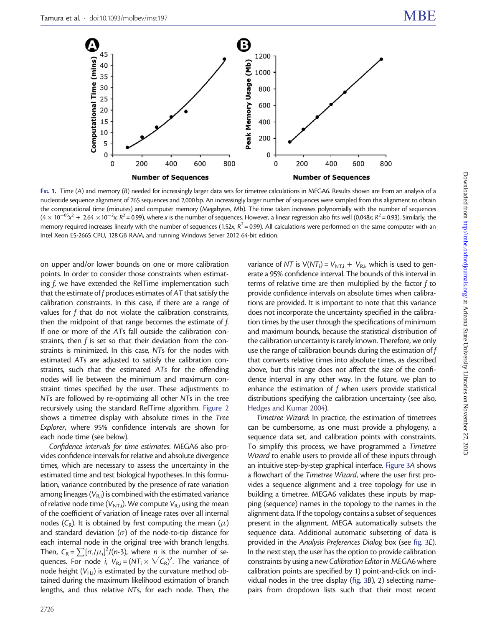<span id="page-1-0"></span>

FIG. 1. Time (A) and memory (B) needed for increasingly larger data sets for timetree calculations in MEGA6. Results shown are from an analysis of a nucleotide sequence alignment of 765 sequences and 2,000 bp. An increasingly larger number of sequences were sampled from this alignment to obtain the computational time (minutes) and computer memory (Megabytes, Mb). The time taken increases polynomially with the number of sequences  $(4\times10^{-95}x^2+2.64\times10^{-2}x$ ; R<sup>2</sup> = 0.99), where x is the number of sequences. However, a linear regression also fits well (0.048x; R<sup>2</sup> = 0.93). Similarly, the memory required increases linearly with the number of sequences (1.52x,  $R^2$  = 0.99). All calculations were performed on the same computer with an Intel Xeon E5-2665 CPU, 128 GB RAM, and running Windows Server 2012 64-bit edition.

on upper and/or lower bounds on one or more calibration points. In order to consider those constraints when estimating f, we have extended the RelTime implementation such that the estimate of  $f$  produces estimates of  $AT$  that satisfy the calibration constraints. In this case, if there are a range of values for f that do not violate the calibration constraints, then the midpoint of that range becomes the estimate of f. If one or more of the ATs fall outside the calibration constraints, then f is set so that their deviation from the constraints is minimized. In this case, NTs for the nodes with estimated ATs are adjusted to satisfy the calibration constraints, such that the estimated ATs for the offending nodes will lie between the minimum and maximum constraint times specified by the user. These adjustments to NTs are followed by re-optimizing all other NTs in the tree recursively using the standard RelTime algorithm. [Figure 2](#page-2-0) shows a timetree display with absolute times in the Tree Explorer, where 95% confidence intervals are shown for each node time (see below).

Confidence intervals for time estimates: MEGA6 also provides confidence intervals for relative and absolute divergence times, which are necessary to assess the uncertainty in the estimated time and test biological hypotheses. In this formulation, variance contributed by the presence of rate variation among lineages ( $V_{\text{R,i}}$ ) is combined with the estimated variance of relative node time ( $V_{NT,i}$ ). We compute  $V_{R,i}$  using the mean of the coefficient of variation of lineage rates over all internal nodes (C<sub>R</sub>). It is obtained by first computing the mean  $(\mu)$ and standard deviation ( $\sigma$ ) of the node-to-tip distance for each internal node in the original tree with branch lengths. Then,  $C_R = \sum [\sigma_i/\mu_i]^2/(n-3)$ , where *n* is the number of sequences. For node i,  $V_{R,i} = (NT_i \times \sqrt{C_R})^2$ . The variance of node height  $(V_{H,i})$  is estimated by the curvature method obtained during the maximum likelihood estimation of branch lengths, and thus relative NTs, for each node. Then, the

2726

variance of NT is  $V(NT_i) = V_{NT,i} + V_{R,i}$ , which is used to generate a 95% confidence interval. The bounds of this interval in terms of relative time are then multiplied by the factor f to provide confidence intervals on absolute times when calibrations are provided. It is important to note that this variance does not incorporate the uncertainty specified in the calibration times by the user through the specifications of minimum and maximum bounds, because the statistical distribution of the calibration uncertainty is rarely known. Therefore, we only use the range of calibration bounds during the estimation of f that converts relative times into absolute times, as described above, but this range does not affect the size of the confidence interval in any other way. In the future, we plan to enhance the estimation of  $f$  when users provide statistical distributions specifying the calibration uncertainty (see also, [Hedges and Kumar 2004\)](#page-4-0).

Timetree Wizard: In practice, the estimation of timetrees can be cumbersome, as one must provide a phylogeny, a sequence data set, and calibration points with constraints. To simplify this process, we have programmed a Timetree Wizard to enable users to provide all of these inputs through an intuitive step-by-step graphical interface. [Figure 3](#page-3-0)A shows a flowchart of the Timetree Wizard, where the user first provides a sequence alignment and a tree topology for use in building a timetree. MEGA6 validates these inputs by mapping (sequence) names in the topology to the names in the alignment data. If the topology contains a subset of sequences present in the alignment, MEGA automatically subsets the sequence data. Additional automatic subsetting of data is provided in the Analysis Preferences Dialog box (see [fig. 3](#page-3-0)E). In the next step, the user has the option to provide calibration constraints by using a new Calibration Editor in MEGA6 where calibration points are specified by 1) point-and-click on individual nodes in the tree display [\(fig. 3](#page-3-0)B), 2) selecting namepairs from dropdown lists such that their most recent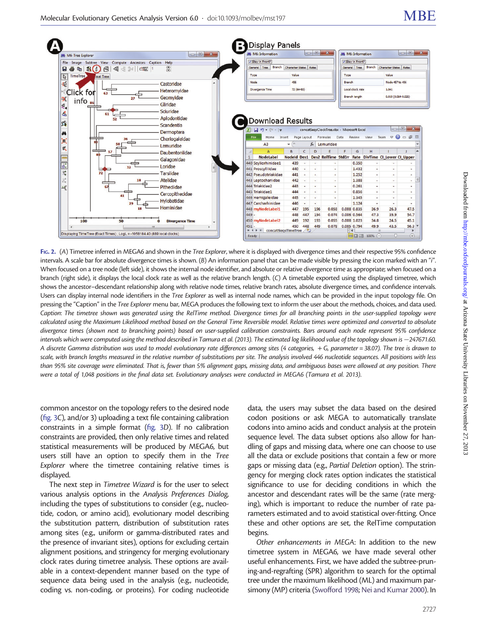<span id="page-2-0"></span>

FIG. 2. (A) Timetree inferred in MEGA6 and shown in the Tree Explorer, where it is displayed with divergence times and their respective 95% confidence intervals. A scale bar for absolute divergence times is shown. (B) An information panel that can be made visible by pressing the icon marked with an "i". When focused on a tree node (left side), it shows the internal node identifier, and absolute or relative divergence time as appropriate; when focused on a branch (right side), it displays the local clock rate as well as the relative branch length. (C) A timetable exported using the displayed timetree, which shows the ancestor–descendant relationship along with relative node times, relative branch rates, absolute divergence times, and confidence intervals. Users can display internal node identifiers in the Tree Explorer as well as internal node names, which can be provided in the input topology file. On pressing the "Caption" in the Tree Explorer menu bar, MEGA produces the following text to inform the user about the methods, choices, and data used. Caption: The timetree shown was generated using the RelTime method. Divergence times for all branching points in the user-supplied topology were calculated using the Maximum Likelihood method based on the General Time Reversible model. Relative times were optimized and converted to absolute divergence times (shown next to branching points) based on user-supplied calibration constraints. Bars around each node represent 95% confidence intervals which were computed using the method described in Tamura et al. (2013). The estimated log likelihood value of the topology shown is 247671.60. A discrete Gamma distribution was used to model evolutionary rate differences among sites (4 categories, +G, parameter = 38.07). The tree is drawn to scale, with branch lengths measured in the relative number of substitutions per site. The analysis involved 446 nucleotide sequences. All positions with less than 95% site coverage were eliminated. That is, fewer than 5% alignment gaps, missing data, and ambiguous bases were allowed at any position. There were a total of 1,048 positions in the final data set. Evolutionary analyses were conducted in MEGA6 (Tamura et al. 2013).

common ancestor on the topology refers to the desired node ([fig. 3](#page-3-0)C), and/or 3) uploading a text file containing calibration constraints in a simple format ([fig. 3](#page-3-0)D). If no calibration constraints are provided, then only relative times and related statistical measurements will be produced by MEGA6, but users still have an option to specify them in the Tree Explorer where the timetree containing relative times is displayed.

The next step in Timetree Wizard is for the user to select various analysis options in the Analysis Preferences Dialog, including the types of substitutions to consider (e.g., nucleotide, codon, or amino acid), evolutionary model describing the substitution pattern, distribution of substitution rates among sites (e.g., uniform or gamma-distributed rates and the presence of invariant sites), options for excluding certain alignment positions, and stringency for merging evolutionary clock rates during timetree analysis. These options are available in a context-dependent manner based on the type of sequence data being used in the analysis (e.g., nucleotide, coding vs. non-coding, or proteins). For coding nucleotide

data, the users may subset the data based on the desired codon positions or ask MEGA to automatically translate codons into amino acids and conduct analysis at the protein sequence level. The data subset options also allow for handling of gaps and missing data, where one can choose to use all the data or exclude positions that contain a few or more gaps or missing data (e.g., Partial Deletion option). The stringency for merging clock rates option indicates the statistical significance to use for deciding conditions in which the ancestor and descendant rates will be the same (rate merging), which is important to reduce the number of rate parameters estimated and to avoid statistical over-fitting. Once these and other options are set, the RelTime computation begins.

Other enhancements in MEGA: In addition to the new timetree system in MEGA6, we have made several other useful enhancements. First, we have added the subtree-pruning-and-regrafting (SPR) algorithm to search for the optimal tree under the maximum likelihood (ML) and maximum parsimony (MP) criteria [\(Swofford 1998;](#page-4-0) [Nei and Kumar 2000](#page-4-0)). In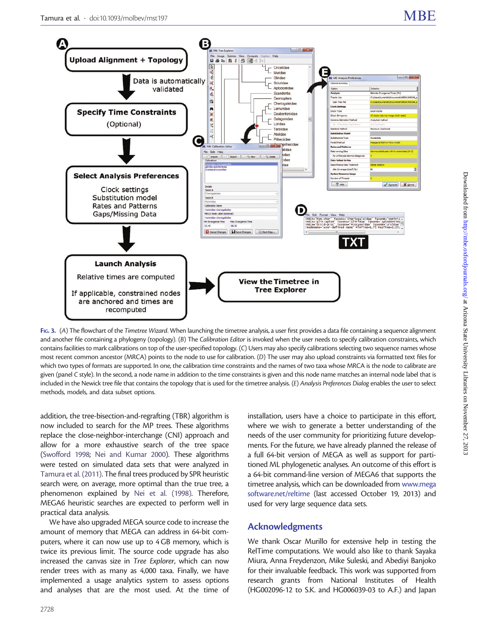<span id="page-3-0"></span>

FIG. 3. (A) The flowchart of the Timetree Wizard. When launching the timetree analysis, a user first provides a data file containing a sequence alignment and another file containing a phylogeny (topology). (B) The Calibration Editor is invoked when the user needs to specify calibration constraints, which contains facilities to mark calibrations on top of the user-specified topology. (C) Users may also specify calibrations selecting two sequence names whose most recent common ancestor (MRCA) points to the node to use for calibration. (D) The user may also upload constraints via formatted text files for which two types of formats are supported. In one, the calibration time constraints and the names of two taxa whose MRCA is the node to calibrate are given (panel C style). In the second, a node name in addition to the time constraints is given and this node name matches an internal node label that is included in the Newick tree file that contains the topology that is used for the timetree analysis. (E) Analysis Preferences Dialog enables the user to select methods, models, and data subset options.

addition, the tree-bisection-and-regrafting (TBR) algorithm is now included to search for the MP trees. These algorithms replace the close-neighbor-interchange (CNI) approach and allow for a more exhaustive search of the tree space ([Swofford 1998;](#page-4-0) [Nei and Kumar 2000\)](#page-4-0). These algorithms were tested on simulated data sets that were analyzed in [Tamura et al. \(2011\).](#page-4-0) The final trees produced by SPR heuristic search were, on average, more optimal than the true tree, a phenomenon explained by [Nei et al. \(1998\).](#page-4-0) Therefore, MEGA6 heuristic searches are expected to perform well in practical data analysis.

We have also upgraded MEGA source code to increase the amount of memory that MEGA can address in 64-bit computers, where it can now use up to 4 GB memory, which is twice its previous limit. The source code upgrade has also increased the canvas size in Tree Explorer, which can now render trees with as many as 4,000 taxa. Finally, we have implemented a usage analytics system to assess options and analyses that are the most used. At the time of

installation, users have a choice to participate in this effort, where we wish to generate a better understanding of the needs of the user community for prioritizing future developments. For the future, we have already planned the release of a full 64-bit version of MEGA as well as support for partitioned ML phylogenetic analyses. An outcome of this effort is a 64-bit command-line version of MEGA6 that supports the timetree analysis, which can be downloaded from [www.mega](www.megasoftware.net/reltime) [software.net/reltime](www.megasoftware.net/reltime) (last accessed October 19, 2013) and used for very large sequence data sets.

## Acknowledgments

We thank Oscar Murillo for extensive help in testing the RelTime computations. We would also like to thank Sayaka Miura, Anna Freydenzon, Mike Suleski, and Abediyi Banjoko for their invaluable feedback. This work was supported from research grants from National Institutes of Health (HG002096-12 to S.K. and HG006039-03 to A.F.) and Japan